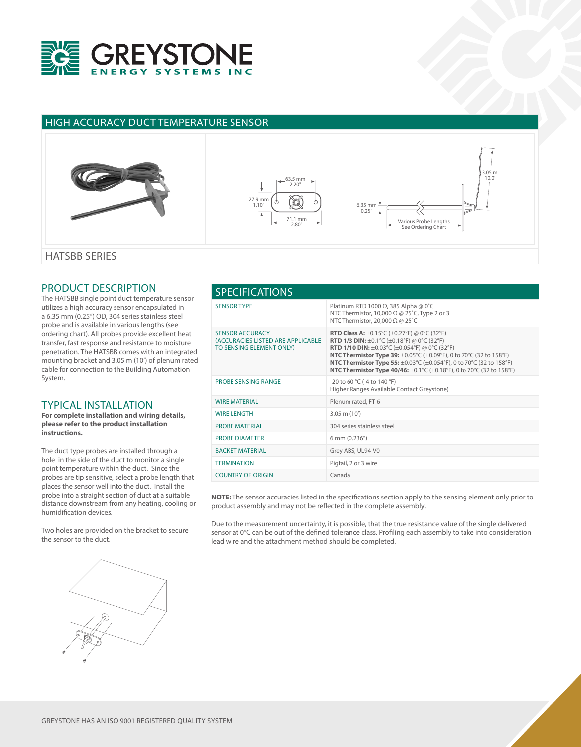

## HIGH ACCURACY DUCT TEMPERATURE SENSOR



## PRODUCT DESCRIPTION

The HATSBB single point duct temperature sensor utilizes a high accuracy sensor encapsulated in a 6.35 mm (0.25") OD, 304 series stainless steel probe and is available in various lengths (see ordering chart). All probes provide excellent heat transfer, fast response and resistance to moisture penetration. The HATSBB comes with an integrated mounting bracket and 3.05 m (10') of plenum rated cable for connection to the Building Automation System.

## TYPICAL INSTALLATION

**For complete installation and wiring details, please refer to the product installation instructions.**

The duct type probes are installed through a hole in the side of the duct to monitor a single point temperature within the duct. Since the probes are tip sensitive, select a probe length that places the sensor well into the duct. Install the probe into a straight section of duct at a suitable distance downstream from any heating, cooling or humidification devices.

Two holes are provided on the bracket to secure the sensor to the duct.

| <b>SPECIFICATIONS</b>                                                                   |                                                                                                                                                                                                                                                                                                                                                                                                                                                       |  |  |
|-----------------------------------------------------------------------------------------|-------------------------------------------------------------------------------------------------------------------------------------------------------------------------------------------------------------------------------------------------------------------------------------------------------------------------------------------------------------------------------------------------------------------------------------------------------|--|--|
| <b>SENSOR TYPE</b>                                                                      | Platinum RTD 1000 Ω, 385 Alpha @ 0°C<br>NTC Thermistor, 10,000 $\Omega$ @ 25°C, Type 2 or 3<br>NTC Thermistor, 20,000 $\Omega$ @ 25°C                                                                                                                                                                                                                                                                                                                 |  |  |
| <b>SENSOR ACCURACY</b><br>(ACCURACIES LISTED ARE APPLICABLE<br>TO SENSING ELEMENT ONLY) | <b>RTD Class A:</b> $\pm$ 0.15°C ( $\pm$ 0.27°F) @ 0°C (32°F)<br><b>RTD 1/3 DIN:</b> $\pm 0.1^{\circ}$ C ( $\pm 0.18^{\circ}$ F) @ 0°C (32°F)<br><b>RTD 1/10 DIN:</b> $\pm 0.03^{\circ}$ C ( $\pm 0.054^{\circ}$ F) @ 0°C (32°F)<br>NTC Thermistor Type 39: ±0.05°C (±0.09°F), 0 to 70°C (32 to 158°F)<br>NTC Thermistor Type 55: ±0.03°C (±0.054°F), 0 to 70°C (32 to 158°F)<br>NTC Thermistor Type 40/46: ±0.1°C (±0.18°F), 0 to 70°C (32 to 158°F) |  |  |
| <b>PROBE SENSING RANGE</b>                                                              | -20 to 60 °C (-4 to 140 °F)<br>Higher Ranges Available Contact Greystone)                                                                                                                                                                                                                                                                                                                                                                             |  |  |
| <b>WIRE MATERIAL</b>                                                                    | Plenum rated, FT-6                                                                                                                                                                                                                                                                                                                                                                                                                                    |  |  |
| <b>WIRE LENGTH</b>                                                                      | $3.05$ m $(10')$                                                                                                                                                                                                                                                                                                                                                                                                                                      |  |  |
| <b>PROBE MATERIAL</b>                                                                   | 304 series stainless steel                                                                                                                                                                                                                                                                                                                                                                                                                            |  |  |
| <b>PROBE DIAMETER</b>                                                                   | 6 mm (0.236")                                                                                                                                                                                                                                                                                                                                                                                                                                         |  |  |
| <b>BACKET MATERIAL</b>                                                                  | Grey ABS, UL94-V0                                                                                                                                                                                                                                                                                                                                                                                                                                     |  |  |
| <b>TERMINATION</b>                                                                      | Pigtail, 2 or 3 wire                                                                                                                                                                                                                                                                                                                                                                                                                                  |  |  |
| <b>COUNTRY OF ORIGIN</b>                                                                | Canada                                                                                                                                                                                                                                                                                                                                                                                                                                                |  |  |

**NOTE:** The sensor accuracies listed in the specifications section apply to the sensing element only prior to product assembly and may not be reflected in the complete assembly.

Due to the measurement uncertainty, it is possible, that the true resistance value of the single delivered sensor at 0°C can be out of the defined tolerance class. Profiling each assembly to take into consideration lead wire and the attachment method should be completed.